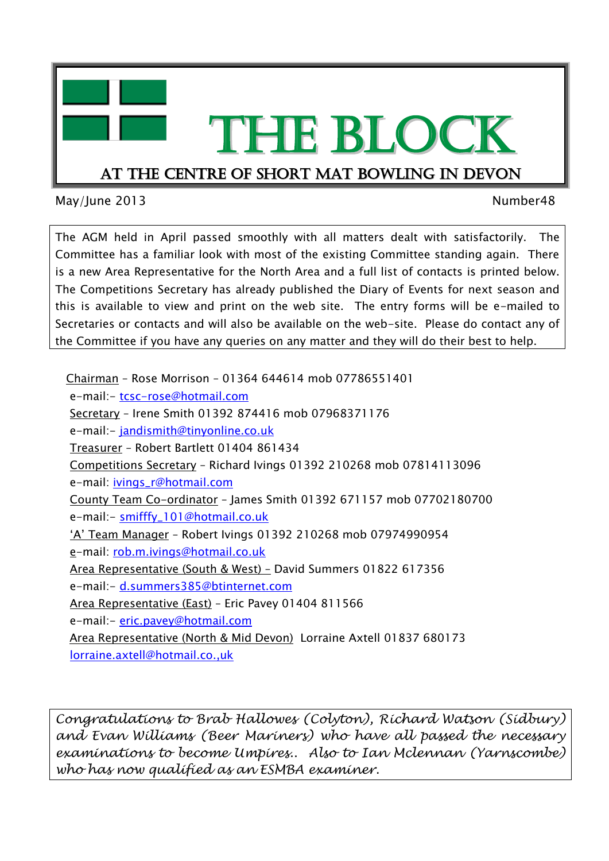

May/June 2013 **Number48** 

The AGM held in April passed smoothly with all matters dealt with satisfactorily. The Committee has a familiar look with most of the existing Committee standing again. There is a new Area Representative for the North Area and a full list of contacts is printed below. The Competitions Secretary has already published the Diary of Events for next season and this is available to view and print on the web site. The entry forms will be e-mailed to Secretaries or contacts and will also be available on the web-site. Please do contact any of the Committee if you have any queries on any matter and they will do their best to help.

 Chairman – Rose Morrison – 01364 644614 mob 07786551401 e-mail:- [tcsc-rose@hotmail.com](mailto:tcsc-rose@hotmail.com) Secretary – Irene Smith 01392 874416 mob 07968371176 e-mail:- [jandismith@tinyonline.co.uk](mailto:jandismith@tinyonline.co.uk) Treasurer – Robert Bartlett 01404 861434 Competitions Secretary – Richard Ivings 01392 210268 mob 07814113096 e-mail: [ivings\\_r@hotmail.com](mailto:ivings_r@hotmail.com) County Team Co-ordinator – James Smith 01392 671157 mob 07702180700 e-mail:- [smifffy\\_101@hotmail.co.uk](mailto:smifffy_101@hotmail.co.uk) 'A' Team Manager – Robert Ivings 01392 210268 mob 07974990954 e-mail: [rob.m.ivings@hotmail.co.uk](mailto:rob.m.ivings@hotmail.co.uk) Area Representative (South & West) – David Summers 01822 617356 e-mail:- [d.summers385@btinternet.com](mailto:d.summers385@btinternet.com) Area Representative (East) – Eric Pavey 01404 811566 e-mail:- [eric.pavey@hotmail.com](mailto:eric.pavey@hotmail.com) Area Representative (North & Mid Devon) Lorraine Axtell 01837 680173 [lorraine.axtell@hotmail.co.,uk](mailto:lorraine.axtell@hotmail.co.,uk)

*Congratulations to Brab Hallowes (Colyton), Richard Watson (Sidbury) and Evan Williams (Beer Mariners) who have all passed the necessary examinations to become Umpires.. Also to Ian Mclennan (Yarnscombe) who has now qualified as an ESMBA examiner.*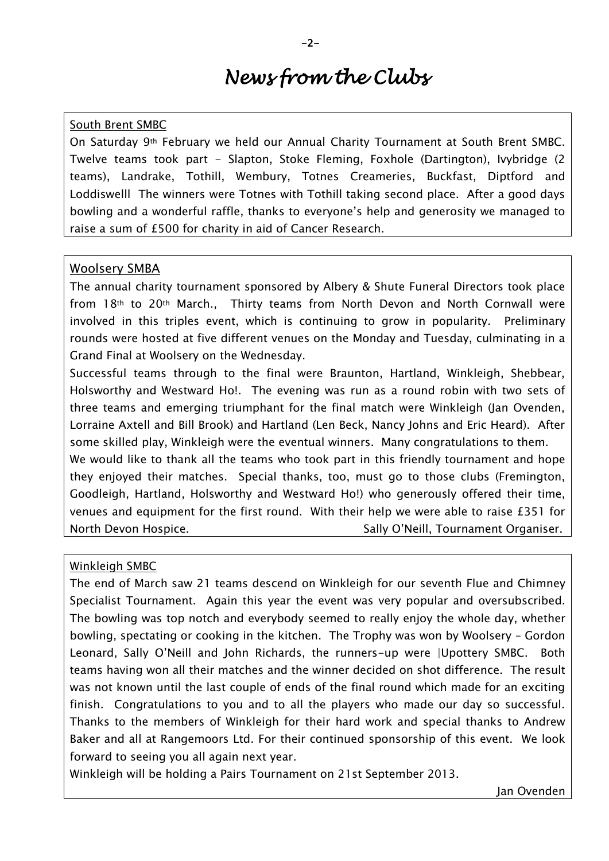# *News from the Clubs*

# South Brent SMBC

On Saturday 9th February we held our Annual Charity Tournament at South Brent SMBC. Twelve teams took part - Slapton, Stoke Fleming, Foxhole (Dartington), Ivybridge (2 teams), Landrake, Tothill, Wembury, Totnes Creameries, Buckfast, Diptford and Loddiswelll The winners were Totnes with Tothill taking second place. After a good days bowling and a wonderful raffle, thanks to everyone's help and generosity we managed to raise a sum of £500 for charity in aid of Cancer Research.

### Woolsery SMBA

The annual charity tournament sponsored by Albery & Shute Funeral Directors took place from 18th to 20th March., Thirty teams from North Devon and North Cornwall were involved in this triples event, which is continuing to grow in popularity. Preliminary rounds were hosted at five different venues on the Monday and Tuesday, culminating in a Grand Final at Woolsery on the Wednesday.

Successful teams through to the final were Braunton, Hartland, Winkleigh, Shebbear, Holsworthy and Westward Ho!. The evening was run as a round robin with two sets of three teams and emerging triumphant for the final match were Winkleigh (Jan Ovenden, Lorraine Axtell and Bill Brook) and Hartland (Len Beck, Nancy Johns and Eric Heard). After some skilled play, Winkleigh were the eventual winners. Many congratulations to them. We would like to thank all the teams who took part in this friendly tournament and hope

they enjoyed their matches. Special thanks, too, must go to those clubs (Fremington, Goodleigh, Hartland, Holsworthy and Westward Ho!) who generously offered their time, venues and equipment for the first round. With their help we were able to raise £351 for North Devon Hospice. The Sally O'Neill, Tournament Organiser.

#### Winkleigh SMBC

The end of March saw 21 teams descend on Winkleigh for our seventh Flue and Chimney Specialist Tournament. Again this year the event was very popular and oversubscribed. The bowling was top notch and everybody seemed to really enjoy the whole day, whether bowling, spectating or cooking in the kitchen. The Trophy was won by Woolsery – Gordon Leonard, Sally O'Neill and John Richards, the runners-up were |Upottery SMBC. Both teams having won all their matches and the winner decided on shot difference. The result was not known until the last couple of ends of the final round which made for an exciting finish. Congratulations to you and to all the players who made our day so successful. Thanks to the members of Winkleigh for their hard work and special thanks to Andrew Baker and all at Rangemoors Ltd. For their continued sponsorship of this event. We look forward to seeing you all again next year.

Winkleigh will be holding a Pairs Tournament on 21st September 2013.

Jan Ovenden